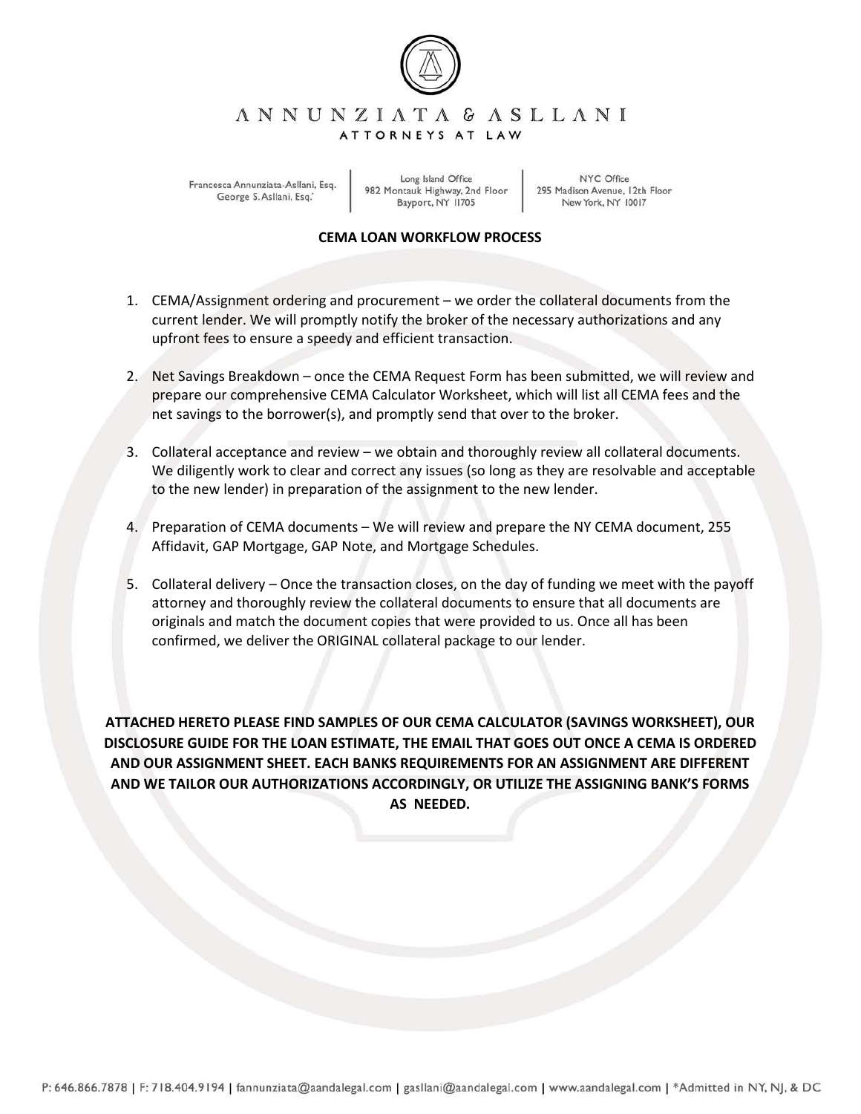

## ANNUNZIATA & ASLLANI ATTORNEYS AT LAW

Francesca Annunziata-Asllani, Esq. George S. Asllani, Esq.

Long Island Office 982 Montauk Highway, 2nd Floor Bayport, NY 11705

NYC Office 295 Madison Avenue, 12th Floor New York, NY 10017

## **CEMA LOAN WORKFLOW PROCESS**

- 1. CEMA/Assignment ordering and procurement we order the collateral documents from the current lender. We will promptly notify the broker of the necessary authorizations and any upfront fees to ensure a speedy and efficient transaction.
- 2. Net Savings Breakdown once the CEMA Request Form has been submitted, we will review and prepare our comprehensive CEMA Calculator Worksheet, which will list all CEMA fees and the net savings to the borrower(s), and promptly send that over to the broker.
- 3. Collateral acceptance and review we obtain and thoroughly review all collateral documents. We diligently work to clear and correct any issues (so long as they are resolvable and acceptable to the new lender) in preparation of the assignment to the new lender.
- 4. Preparation of CEMA documents We will review and prepare the NY CEMA document, 255 Affidavit, GAP Mortgage, GAP Note, and Mortgage Schedules.
- 5. Collateral delivery Once the transaction closes, on the day of funding we meet with the payoff attorney and thoroughly review the collateral documents to ensure that all documents are originals and match the document copies that were provided to us. Once all has been confirmed, we deliver the ORIGINAL collateral package to our lender.

**ATTACHED HERETO PLEASE FIND SAMPLES OF OUR CEMA CALCULATOR (SAVINGS WORKSHEET), OUR DISCLOSURE GUIDE FOR THE LOAN ESTIMATE, THE EMAIL THAT GOES OUT ONCE A CEMA IS ORDERED AND OUR ASSIGNMENT SHEET. EACH BANKS REQUIREMENTS FOR AN ASSIGNMENT ARE DIFFERENT AND WE TAILOR OUR AUTHORIZATIONS ACCORDINGLY, OR UTILIZE THE ASSIGNING BANK'S FORMS AS NEEDED.**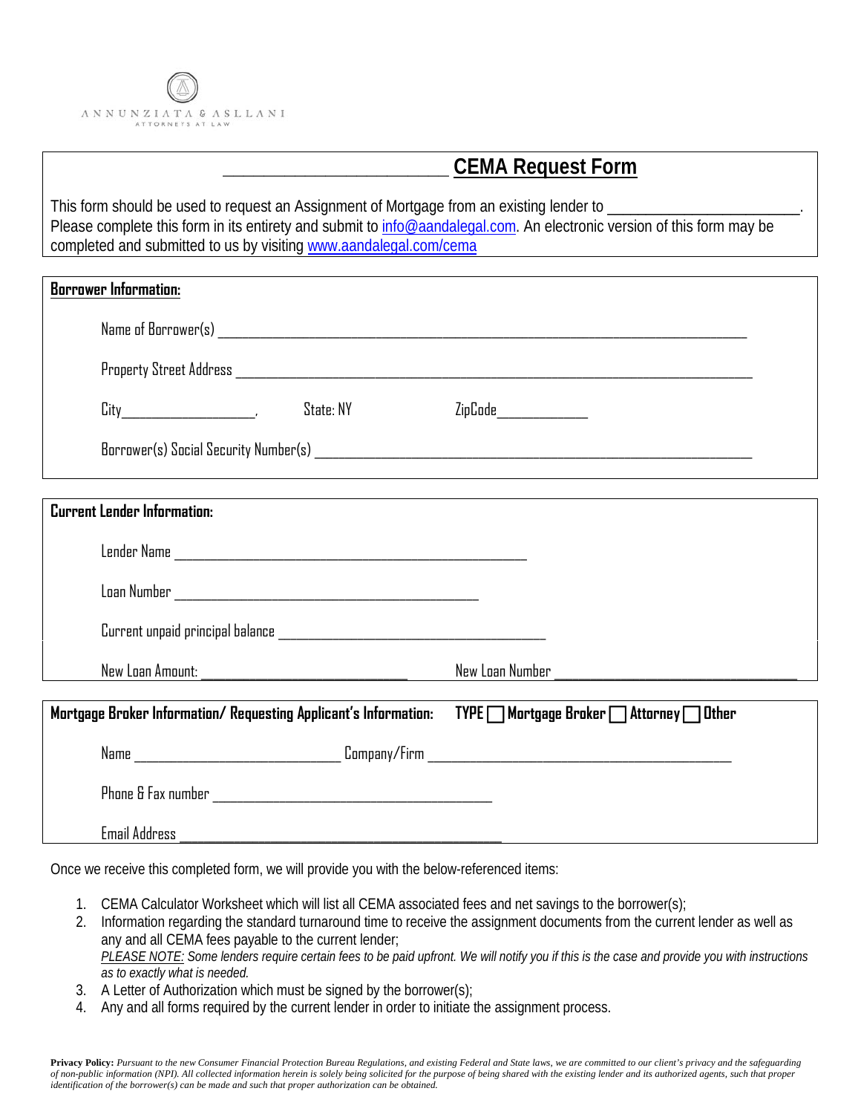

## **\_\_\_\_\_\_\_\_\_\_\_\_\_\_\_\_\_\_\_\_\_\_ CEMA Request Form**

This form should be used to request an Assignment of Mortgage from an existing lender to \_\_\_\_\_\_\_\_\_\_\_\_\_\_\_\_\_\_\_\_\_\_\_\_\_. Please complete this form in its entirety and submit to [info@aandalegal.com.](mailto:info@aandalegal.com) An electronic version of this form may be completed and submitted to us by visitin[g www.aandalegal.com/cema](http://www.aandalegal.com/cema)

| <b>Borrower Information:</b>                                     |           |                                     |  |
|------------------------------------------------------------------|-----------|-------------------------------------|--|
|                                                                  |           |                                     |  |
|                                                                  |           |                                     |  |
|                                                                  | State: NY | ZipCode____________                 |  |
|                                                                  |           |                                     |  |
|                                                                  |           |                                     |  |
| <b>Current Lender Information:</b>                               |           |                                     |  |
|                                                                  |           |                                     |  |
|                                                                  |           |                                     |  |
|                                                                  |           |                                     |  |
| New Loan Amount:                                                 |           | New Loan Number                     |  |
| Mortgage Broker Information/ Requesting Applicant's Information: |           | TYPE Mortgage Broker Attorney Other |  |
|                                                                  |           |                                     |  |
|                                                                  |           |                                     |  |
| Email Address                                                    |           |                                     |  |

Once we receive this completed form, we will provide you with the below-referenced items:

- 1. CEMA Calculator Worksheet which will list all CEMA associated fees and net savings to the borrower(s);
- 2. Information regarding the standard turnaround time to receive the assignment documents from the current lender as well as any and all CEMA fees payable to the current lender; *PLEASE NOTE: Some lenders require certain fees to be paid upfront. We will notify you if this is the case and provide you with instructions as to exactly what is needed.*
- 3. A Letter of Authorization which must be signed by the borrower(s);
- 4. Any and all forms required by the current lender in order to initiate the assignment process.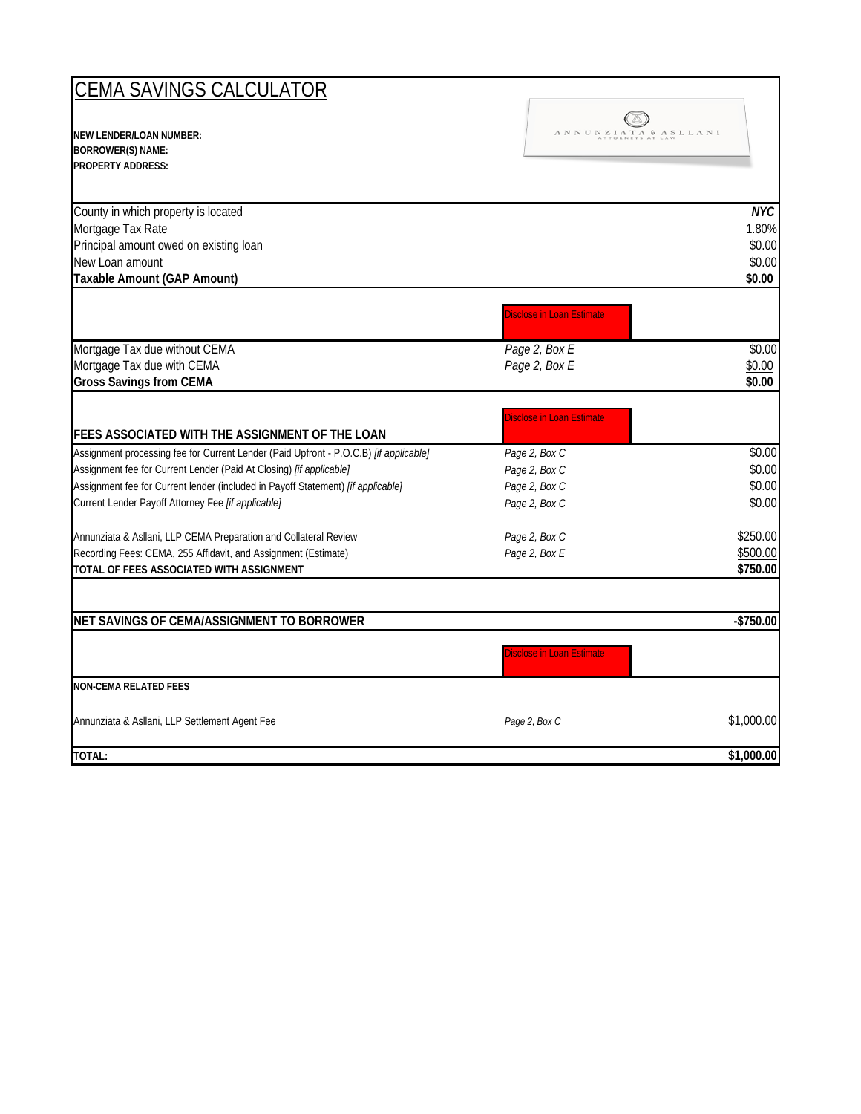| CEMA SAVINGS CALCULATOR                                                                                                                                                                                                                                                                                |                                                                                                                                 |                                                       |
|--------------------------------------------------------------------------------------------------------------------------------------------------------------------------------------------------------------------------------------------------------------------------------------------------------|---------------------------------------------------------------------------------------------------------------------------------|-------------------------------------------------------|
| <b>NEW LENDER/LOAN NUMBER:</b><br><b>BORROWER(S) NAME:</b><br><b>PROPERTY ADDRESS:</b>                                                                                                                                                                                                                 | $\Lambda \; N \; N \; U \; N \; Z \; I \; \Lambda \; T \; \Lambda \; \; \Phi \; \; \Lambda \; S \; L \; L \; \Lambda \; N \; I$ |                                                       |
| County in which property is located<br>Mortgage Tax Rate<br>Principal amount owed on existing loan<br>New Loan amount<br>Taxable Amount (GAP Amount)                                                                                                                                                   |                                                                                                                                 | N <sub>K</sub><br>1.80%<br>\$0.00<br>\$0.00<br>\$0.00 |
|                                                                                                                                                                                                                                                                                                        | Disclose in Loan Estimate                                                                                                       |                                                       |
| Mortgage Tax due without CEMA<br>Mortgage Tax due with CEMA<br><b>Gross Savings from CEMA</b>                                                                                                                                                                                                          | Page 2, Box E<br>Page 2, Box E                                                                                                  | \$0.00<br>\$0.00<br>\$0.00                            |
| FEES ASSOCIATED WITH THE ASSIGNMENT OF THE LOAN                                                                                                                                                                                                                                                        | Disclose in Loan Estimate                                                                                                       |                                                       |
| Assignment processing fee for Current Lender (Paid Upfront - P.O.C.B) [if applicable]<br>Assignment fee for Current Lender (Paid At Closing) [if applicable]<br>Assignment fee for Current lender (included in Payoff Statement) [if applicable]<br>Current Lender Payoff Attorney Fee [if applicable] | Page 2, Box C<br>Page 2, Box C<br>Page 2, Box C<br>Page 2, Box C                                                                | \$0.00<br>\$0.00<br>\$0.00<br>\$0.00                  |
| Annunziata & Asllani, LLP CEMA Preparation and Collateral Review<br>Recording Fees: CEMA, 255 Affidavit, and Assignment (Estimate)<br>TOTAL OF FEES ASSOCIATED WITH ASSIGNMENT                                                                                                                         | Page 2, Box C<br>Page 2, Box E                                                                                                  | \$250.00<br>\$500.00<br>\$750.00                      |
| NET SAVINGS OF CEMA/ASSIGNMENT TO BORROWER                                                                                                                                                                                                                                                             |                                                                                                                                 | $-$750.00$                                            |
|                                                                                                                                                                                                                                                                                                        | Disclose in Loan Estimate                                                                                                       |                                                       |
| <b>NON-CEMA RELATED FEES</b>                                                                                                                                                                                                                                                                           |                                                                                                                                 |                                                       |
| Annunziata & Asllani, LLP Settlement Agent Fee                                                                                                                                                                                                                                                         | Page 2, Box C                                                                                                                   | \$1,000.00                                            |
| TOTAL:                                                                                                                                                                                                                                                                                                 |                                                                                                                                 | \$1,000.00                                            |